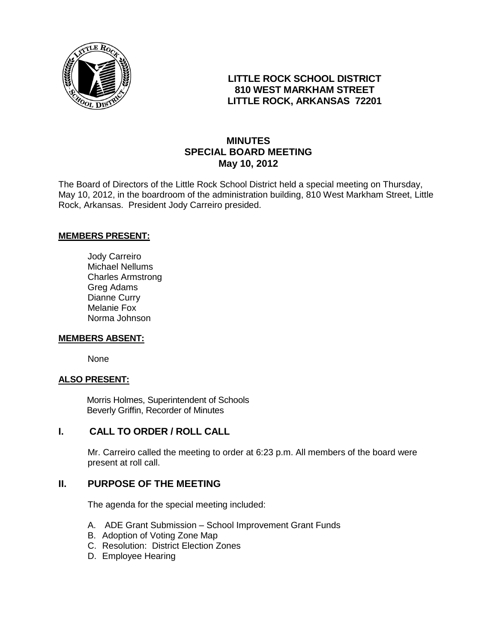

# **LITTLE ROCK SCHOOL DISTRICT 810 WEST MARKHAM STREET LITTLE ROCK, ARKANSAS 72201**

# **MINUTES SPECIAL BOARD MEETING May 10, 2012**

The Board of Directors of the Little Rock School District held a special meeting on Thursday, May 10, 2012, in the boardroom of the administration building, 810 West Markham Street, Little Rock, Arkansas. President Jody Carreiro presided.

#### **MEMBERS PRESENT:**

Jody Carreiro Michael Nellums Charles Armstrong Greg Adams Dianne Curry Melanie Fox Norma Johnson

#### **MEMBERS ABSENT:**

None

#### **ALSO PRESENT:**

 Morris Holmes, Superintendent of Schools Beverly Griffin, Recorder of Minutes

#### **I. CALL TO ORDER / ROLL CALL**

Mr. Carreiro called the meeting to order at 6:23 p.m. All members of the board were present at roll call.

### **II. PURPOSE OF THE MEETING**

The agenda for the special meeting included:

- A. ADE Grant Submission School Improvement Grant Funds
- B. Adoption of Voting Zone Map
- C. Resolution: District Election Zones
- D. Employee Hearing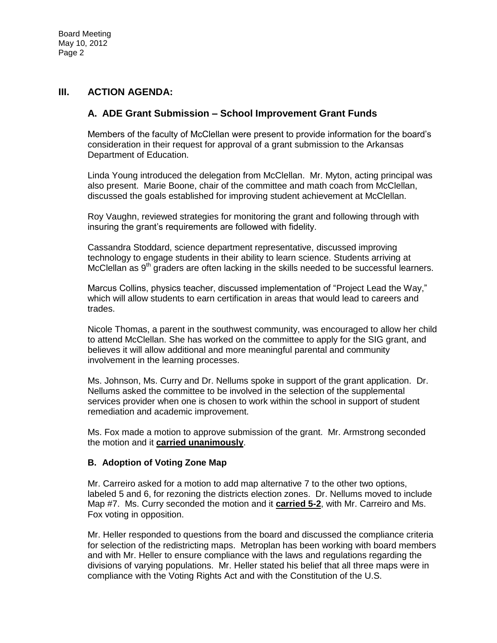## **III. ACTION AGENDA:**

## **A. ADE Grant Submission – School Improvement Grant Funds**

Members of the faculty of McClellan were present to provide information for the board's consideration in their request for approval of a grant submission to the Arkansas Department of Education.

Linda Young introduced the delegation from McClellan. Mr. Myton, acting principal was also present. Marie Boone, chair of the committee and math coach from McClellan, discussed the goals established for improving student achievement at McClellan.

Roy Vaughn, reviewed strategies for monitoring the grant and following through with insuring the grant's requirements are followed with fidelity.

Cassandra Stoddard, science department representative, discussed improving technology to engage students in their ability to learn science. Students arriving at McClellan as 9<sup>th</sup> graders are often lacking in the skills needed to be successful learners.

Marcus Collins, physics teacher, discussed implementation of "Project Lead the Way," which will allow students to earn certification in areas that would lead to careers and trades.

Nicole Thomas, a parent in the southwest community, was encouraged to allow her child to attend McClellan. She has worked on the committee to apply for the SIG grant, and believes it will allow additional and more meaningful parental and community involvement in the learning processes.

Ms. Johnson, Ms. Curry and Dr. Nellums spoke in support of the grant application. Dr. Nellums asked the committee to be involved in the selection of the supplemental services provider when one is chosen to work within the school in support of student remediation and academic improvement.

Ms. Fox made a motion to approve submission of the grant. Mr. Armstrong seconded the motion and it **carried unanimously**.

#### **B. Adoption of Voting Zone Map**

Mr. Carreiro asked for a motion to add map alternative 7 to the other two options, labeled 5 and 6, for rezoning the districts election zones. Dr. Nellums moved to include Map #7. Ms. Curry seconded the motion and it **carried 5-2**, with Mr. Carreiro and Ms. Fox voting in opposition.

Mr. Heller responded to questions from the board and discussed the compliance criteria for selection of the redistricting maps. Metroplan has been working with board members and with Mr. Heller to ensure compliance with the laws and regulations regarding the divisions of varying populations. Mr. Heller stated his belief that all three maps were in compliance with the Voting Rights Act and with the Constitution of the U.S.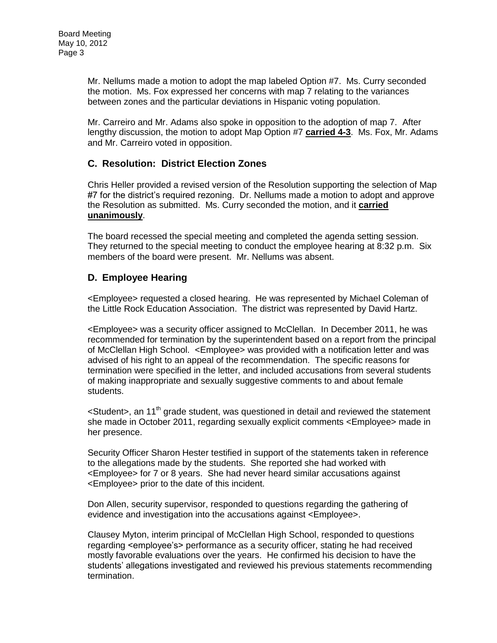Mr. Nellums made a motion to adopt the map labeled Option #7. Ms. Curry seconded the motion. Ms. Fox expressed her concerns with map 7 relating to the variances between zones and the particular deviations in Hispanic voting population.

Mr. Carreiro and Mr. Adams also spoke in opposition to the adoption of map 7. After lengthy discussion, the motion to adopt Map Option #7 **carried 4-3**. Ms. Fox, Mr. Adams and Mr. Carreiro voted in opposition.

## **C. Resolution: District Election Zones**

Chris Heller provided a revised version of the Resolution supporting the selection of Map #7 for the district's required rezoning. Dr. Nellums made a motion to adopt and approve the Resolution as submitted. Ms. Curry seconded the motion, and it **carried unanimously**.

The board recessed the special meeting and completed the agenda setting session. They returned to the special meeting to conduct the employee hearing at 8:32 p.m. Six members of the board were present. Mr. Nellums was absent.

# **D. Employee Hearing**

<Employee> requested a closed hearing. He was represented by Michael Coleman of the Little Rock Education Association. The district was represented by David Hartz.

<Employee> was a security officer assigned to McClellan. In December 2011, he was recommended for termination by the superintendent based on a report from the principal of McClellan High School. <Employee> was provided with a notification letter and was advised of his right to an appeal of the recommendation. The specific reasons for termination were specified in the letter, and included accusations from several students of making inappropriate and sexually suggestive comments to and about female students.

 $\leq$ Student $\geq$ , an 11<sup>th</sup> grade student, was questioned in detail and reviewed the statement she made in October 2011, regarding sexually explicit comments <Employee> made in her presence.

Security Officer Sharon Hester testified in support of the statements taken in reference to the allegations made by the students. She reported she had worked with <Employee> for 7 or 8 years. She had never heard similar accusations against <Employee> prior to the date of this incident.

Don Allen, security supervisor, responded to questions regarding the gathering of evidence and investigation into the accusations against <Employee>.

Clausey Myton, interim principal of McClellan High School, responded to questions regarding <employee's> performance as a security officer, stating he had received mostly favorable evaluations over the years. He confirmed his decision to have the students' allegations investigated and reviewed his previous statements recommending termination.